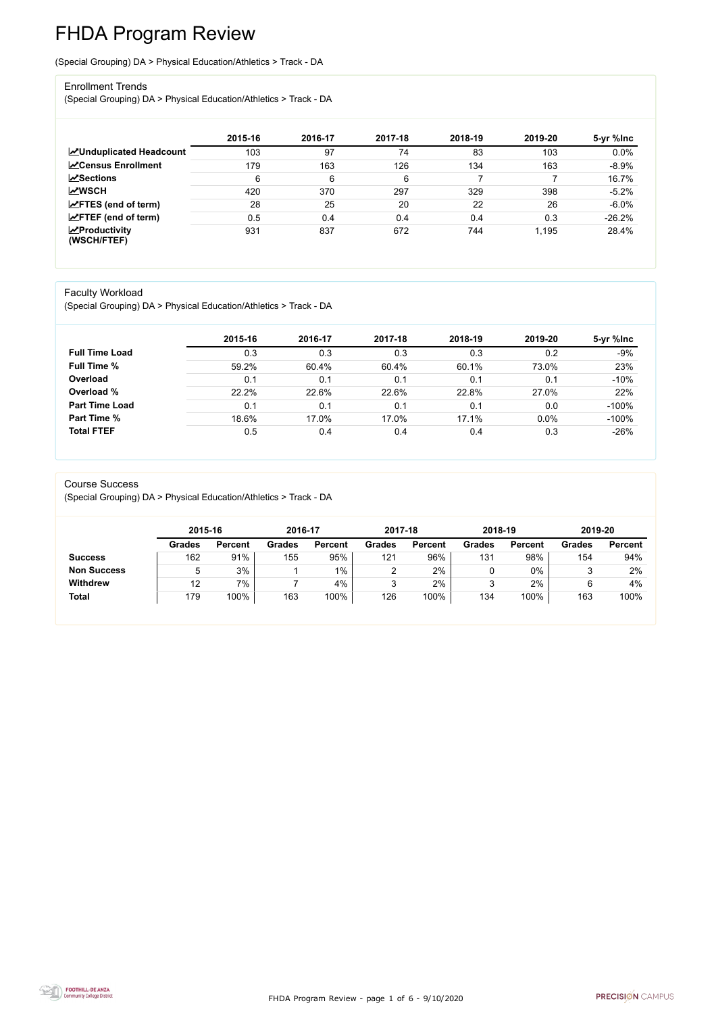FHDA Program Review - page 1 of 6 - 9/10/2020



# FHDA Program Review

(Special Grouping) DA > Physical Education/Athletics > Track - DA

#### Enrollment Trends

(Special Grouping) DA > Physical Education/Athletics > Track - DA

|                                    | 2015-16 | 2016-17 | 2017-18 | 2018-19 | 2019-20 | 5-yr %lnc |
|------------------------------------|---------|---------|---------|---------|---------|-----------|
| <b>ZUnduplicated Headcount</b>     | 103     | 97      | 74      | 83      | 103     | 0.0%      |
| <b>ZCensus Enrollment</b>          | 179     | 163     | 126     | 134     | 163     | $-8.9%$   |
| <b>∠Sections</b>                   | 6       | 6       | 6       |         |         | 16.7%     |
| <b>MWSCH</b>                       | 420     | 370     | 297     | 329     | 398     | $-5.2%$   |
| $\angle$ FTES (end of term)        | 28      | 25      | 20      | 22      | 26      | $-6.0%$   |
| $\angle$ FTEF (end of term)        | 0.5     | 0.4     | 0.4     | 0.4     | 0.3     | $-26.2%$  |
| $\chi$ Productivity<br>(WSCH/FTEF) | 931     | 837     | 672     | 744     | 1,195   | 28.4%     |

#### Faculty Workload

(Special Grouping) DA > Physical Education/Athletics > Track - DA

|                       | 2015-16 | 2016-17 | 2017-18 | 2018-19 | 2019-20 | 5-yr %lnc |
|-----------------------|---------|---------|---------|---------|---------|-----------|
| <b>Full Time Load</b> | 0.3     | 0.3     | 0.3     | 0.3     | 0.2     | -9%       |
| <b>Full Time %</b>    | 59.2%   | 60.4%   | 60.4%   | 60.1%   | 73.0%   | 23%       |
| Overload              | 0.1     | 0.1     | 0.1     | 0.1     | 0.1     | $-10%$    |
| Overload %            | 22.2%   | 22.6%   | 22.6%   | 22.8%   | 27.0%   | 22%       |
| <b>Part Time Load</b> | 0.1     | 0.1     | 0.1     | 0.1     | 0.0     | $-100%$   |
| Part Time %           | 18.6%   | 17.0%   | 17.0%   | 17.1%   | $0.0\%$ | $-100%$   |
| <b>Total FTEF</b>     | 0.5     | 0.4     | 0.4     | 0.4     | 0.3     | $-26%$    |

#### Course Success

(Special Grouping) DA > Physical Education/Athletics > Track - DA

|                    |               | 2015-16        |               | 2016-17        |               | 2017-18        | 2018-19       |                | 2019-20       |                |
|--------------------|---------------|----------------|---------------|----------------|---------------|----------------|---------------|----------------|---------------|----------------|
|                    | <b>Grades</b> | <b>Percent</b> | <b>Grades</b> | <b>Percent</b> | <b>Grades</b> | <b>Percent</b> | <b>Grades</b> | <b>Percent</b> | <b>Grades</b> | <b>Percent</b> |
| <b>Success</b>     | 162           | 91%            | 155           | 95%            | 121           | 96%            | 131           | 98%            | 154           | 94%            |
| <b>Non Success</b> |               | 3%             |               | $1\%$          | ⌒             | $2\%$          |               | 0%             |               | 2%             |
| <b>Withdrew</b>    | 12            | $7\%$          |               | 4%             | 3             | $2\%$          |               | 2%             |               | 4%             |
| <b>Total</b>       | 179           | 100%           | 163           | 100%           | 126           | 100%           | 134           | 100%           | 163           | 100%           |

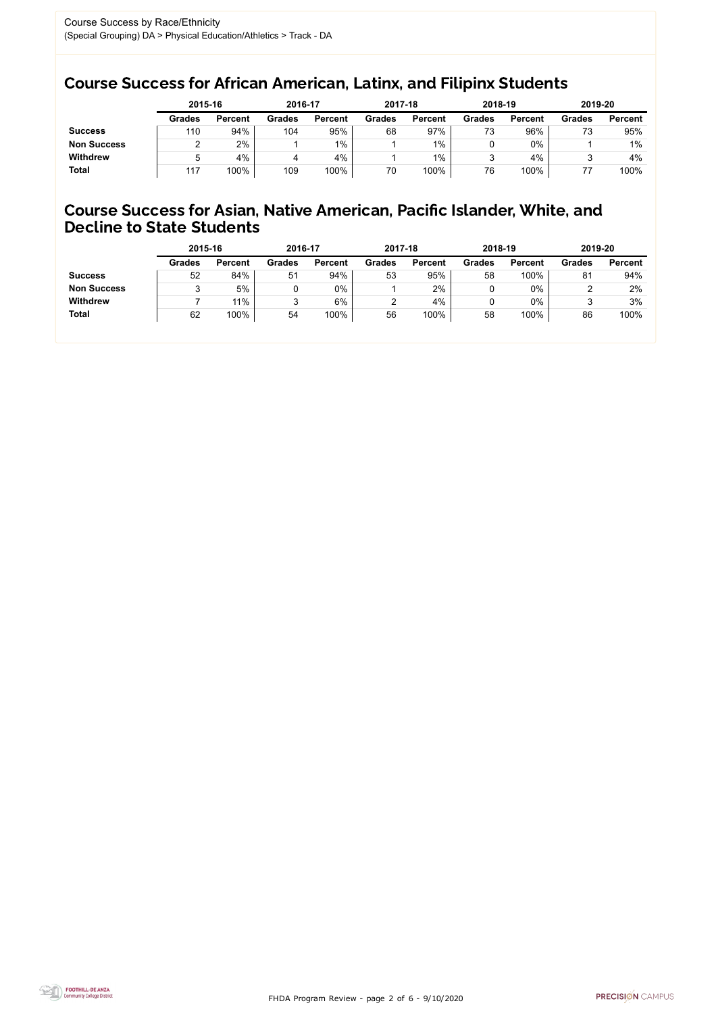FHDA Program Review - page 2 of 6 - 9/10/2020



## Course Success for African American, Latinx, and Filipinx Students

## Course Success for Asian, Native American, Pacific Islander, White, and Decline to State Students

|                    | 2015-16       |                | 2016-17       |                | 2017-18       |                | 2018-19       |                | 2019-20       |                |
|--------------------|---------------|----------------|---------------|----------------|---------------|----------------|---------------|----------------|---------------|----------------|
|                    | <b>Grades</b> | <b>Percent</b> | <b>Grades</b> | <b>Percent</b> | <b>Grades</b> | <b>Percent</b> | <b>Grades</b> | <b>Percent</b> | <b>Grades</b> | <b>Percent</b> |
| <b>Success</b>     | 110           | 94%            | 104           | 95%            | 68            | 97%            | 73            | 96%            | 73            | 95%            |
| <b>Non Success</b> |               | 2%             |               | 1%             |               | $1\%$          |               | 0%             |               | $1\%$          |
| <b>Withdrew</b>    |               | 4%             | 4             | 4%             |               | $1\%$          |               | 4%             |               | 4%             |
| <b>Total</b>       | 117           | 100%           | 109           | 100%           | 70            | 100%           | 76            | 100%           |               | 100%           |

|                    | 2015-16       |                | 2016-17       |                | 2017-18       |                | 2018-19       |                | 2019-20       |                |
|--------------------|---------------|----------------|---------------|----------------|---------------|----------------|---------------|----------------|---------------|----------------|
|                    | <b>Grades</b> | <b>Percent</b> | <b>Grades</b> | <b>Percent</b> | <b>Grades</b> | <b>Percent</b> | <b>Grades</b> | <b>Percent</b> | <b>Grades</b> | <b>Percent</b> |
| <b>Success</b>     | 52            | 84%            | 51            | 94%            | 53            | 95%            | 58            | 100%           | 81            | 94%            |
| <b>Non Success</b> |               | 5%             |               | 0%             |               | 2%             |               | 0%             |               | 2%             |
| <b>Withdrew</b>    |               | 11%            | J             | 6%             |               | 4%             |               | 0%             |               | 3%             |
| <b>Total</b>       | 62            | 100%           | 54            | 100%           | 56            | 100%           | 58            | 100%           | 86            | 100%           |
|                    |               |                |               |                |               |                |               |                |               |                |

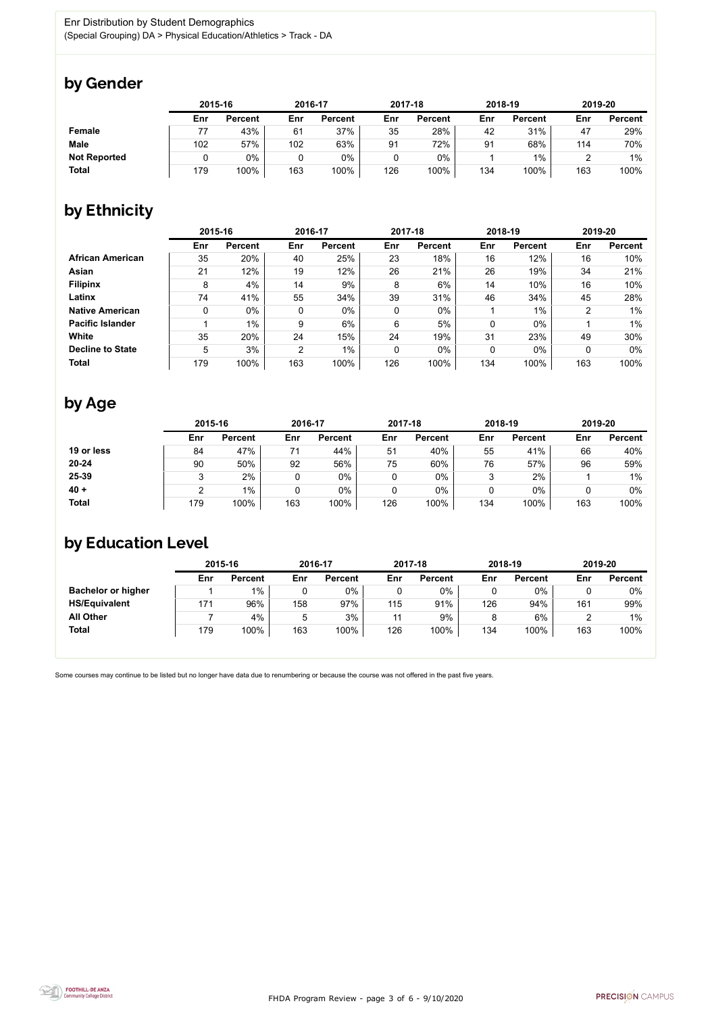FHDA Program Review - page 3 of 6 - 9/10/2020



Some courses may continue to be listed but no longer have data due to renumbering or because the course was not offered in the past five years.



## by Gender

|                     |     | 2015-16        |     | 2016-17        |     | 2017-18        | 2018-19 |                | 2019-20 |                |
|---------------------|-----|----------------|-----|----------------|-----|----------------|---------|----------------|---------|----------------|
|                     | Enr | <b>Percent</b> | Enr | <b>Percent</b> | Enr | <b>Percent</b> | Enr     | <b>Percent</b> | Enr     | <b>Percent</b> |
| <b>Female</b>       |     | 43%            | 61  | 37%            | 35  | 28%            | 42      | 31%            | 47      | 29%            |
| <b>Male</b>         | 102 | 57%            | 102 | 63%            | 91  | 72%            | 91      | 68%            | 114     | 70%            |
| <b>Not Reported</b> |     | $0\%$          |     | 0%             |     | $0\%$          |         | $1\%$          |         | $1\%$          |
| <b>Total</b>        | 179 | 100%           | 163 | 100%           | 126 | 100%           | 134     | 100%           | 163     | 100%           |

## by Ethnicity

|                         | 2015-16 |                |                | 2016-17        |             | 2017-18        |     | 2018-19        | 2019-20 |                |
|-------------------------|---------|----------------|----------------|----------------|-------------|----------------|-----|----------------|---------|----------------|
|                         | Enr     | <b>Percent</b> | Enr            | <b>Percent</b> | Enr         | <b>Percent</b> | Enr | <b>Percent</b> | Enr     | <b>Percent</b> |
| <b>African American</b> | 35      | 20%            | 40             | 25%            | 23          | 18%            | 16  | 12%            | 16      | 10%            |
| <b>Asian</b>            | 21      | 12%            | 19             | 12%            | 26          | 21%            | 26  | 19%            | 34      | 21%            |
| <b>Filipinx</b>         | 8       | 4%             | 14             | 9%             | 8           | 6%             | 14  | 10%            | 16      | 10%            |
| Latinx                  | 74      | 41%            | 55             | 34%            | 39          | 31%            | 46  | 34%            | 45      | 28%            |
| <b>Native American</b>  | 0       | $0\%$          | 0              | $0\%$          | $\mathbf 0$ | $0\%$          |     | $1\%$          | ົ       | $1\%$          |
| <b>Pacific Islander</b> |         | $1\%$          | 9              | 6%             | 6           | 5%             | 0   | $0\%$          |         | $1\%$          |
| White                   | 35      | 20%            | 24             | 15%            | 24          | 19%            | 31  | 23%            | 49      | 30%            |
| <b>Decline to State</b> | 5       | 3%             | $\overline{2}$ | $1\%$          | $\mathbf 0$ | $0\%$          | 0   | $0\%$          |         | $0\%$          |
| <b>Total</b>            | 179     | 100%           | 163            | 100%           | 126         | 100%           | 134 | 100%           | 163     | 100%           |

## by Age

|              | 2015-16 |                |     | 2016-17        |     | 2017-18        |        | 2018-19        | 2019-20 |                |
|--------------|---------|----------------|-----|----------------|-----|----------------|--------|----------------|---------|----------------|
|              | Enr     | <b>Percent</b> | Enr | <b>Percent</b> | Enr | <b>Percent</b> | Enr    | <b>Percent</b> | Enr     | <b>Percent</b> |
| 19 or less   | 84      | 47%            |     | 44%            | 51  | 40%            | 55     | 41%            | 66      | 40%            |
| $20 - 24$    | 90      | 50%            | 92  | 56%            | 75  | 60%            | 76     | 57%            | 96      | 59%            |
| 25-39        |         | $2\%$          |     | $0\%$          |     | $0\%$          | ર<br>ບ | 2%             |         | $1\%$          |
| $40 +$       |         | $1\%$          |     | $0\%$          | 0   | $0\%$          |        | $0\%$          |         | 0%             |
| <b>Total</b> | 179     | 100%           | 163 | 100%           | 126 | 100%           | 134    | 100%           | 163     | 100%           |

## by Education Level

|                           | 2015-16 |                |     | 2016-17        |     | 2017-18        | 2018-19 |                | 2019-20 |                |
|---------------------------|---------|----------------|-----|----------------|-----|----------------|---------|----------------|---------|----------------|
|                           | Enr     | <b>Percent</b> | Enr | <b>Percent</b> | Enr | <b>Percent</b> | Enr     | <b>Percent</b> | Enr     | <b>Percent</b> |
| <b>Bachelor or higher</b> |         | $1\%$          |     | $0\%$          |     | $0\%$          |         | $0\%$          |         | $0\%$          |
| <b>HS/Equivalent</b>      | 171     | 96%            | 158 | 97%            | 115 | 91%            | 126     | 94%            | 161     | 99%            |
| <b>All Other</b>          |         | 4%             | 5   | 3%             | 11  | 9%             |         | 6%             |         | $1\%$          |
| <b>Total</b>              | 179     | 100%           | 163 | 100%           | 126 | 100%           | 134     | 100%           | 163     | 100%           |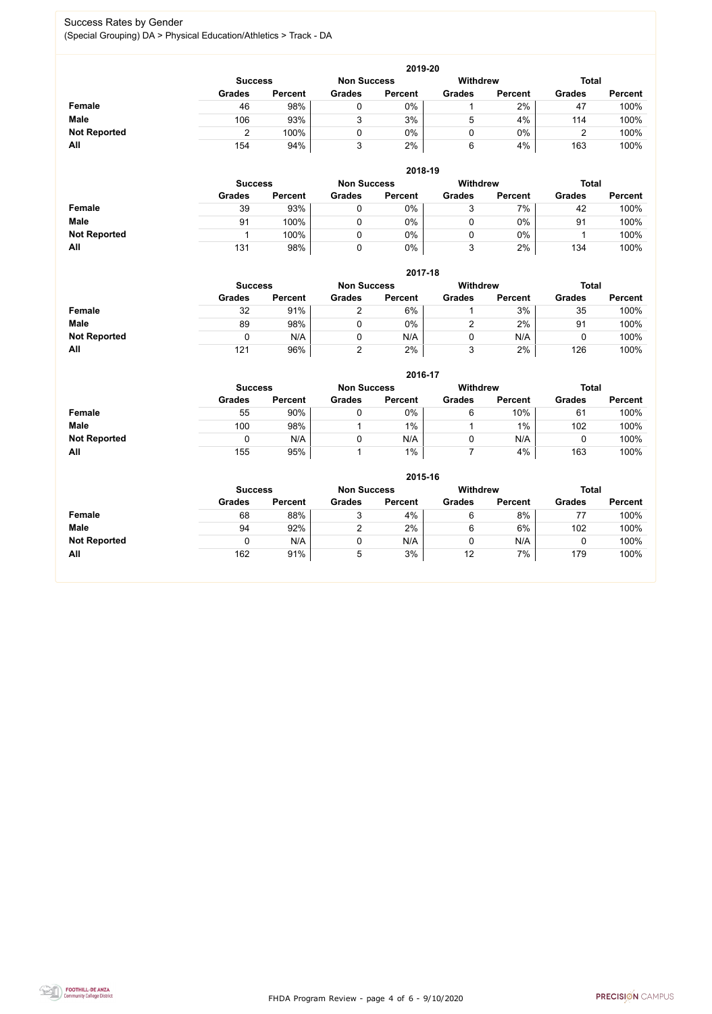FHDA Program Review - page 4 of 6 - 9/10/2020



### Success Rates by Gender (Special Grouping) DA > Physical Education/Athletics > Track - DA

|                     | 2019-20       |                                      |               |                |               |                |               |                |  |  |  |  |  |
|---------------------|---------------|--------------------------------------|---------------|----------------|---------------|----------------|---------------|----------------|--|--|--|--|--|
|                     |               | <b>Non Success</b><br><b>Success</b> |               |                |               |                | <b>Total</b>  |                |  |  |  |  |  |
|                     | <b>Grades</b> | <b>Percent</b>                       | <b>Grades</b> | <b>Percent</b> | <b>Grades</b> | <b>Percent</b> | <b>Grades</b> | <b>Percent</b> |  |  |  |  |  |
| Female              | 46            | 98%                                  |               | $0\%$          |               | 2%             | 47            | 100%           |  |  |  |  |  |
| <b>Male</b>         | 106           | 93%                                  | ົ             | 3%             | b.            | 4%             | 114           | 100%           |  |  |  |  |  |
| <b>Not Reported</b> |               | 100%                                 |               | $0\%$          |               | $0\%$          | ╭             | 100%           |  |  |  |  |  |
| All                 | 154           | 94%                                  |               | 2%             | 6             | 4%             | 163           | 100%           |  |  |  |  |  |

|                     |               | 2018-19                              |               |                |               |                |               |                |  |  |  |  |  |  |
|---------------------|---------------|--------------------------------------|---------------|----------------|---------------|----------------|---------------|----------------|--|--|--|--|--|--|
|                     |               | <b>Non Success</b><br><b>Success</b> |               |                |               |                | <b>Total</b>  |                |  |  |  |  |  |  |
|                     | <b>Grades</b> | <b>Percent</b>                       | <b>Grades</b> | <b>Percent</b> | <b>Grades</b> | <b>Percent</b> | <b>Grades</b> | <b>Percent</b> |  |  |  |  |  |  |
| <b>Female</b>       | 39            | 93%                                  |               | 0%             | っ<br>ບ        | 7%             | 42            | 100%           |  |  |  |  |  |  |
| <b>Male</b>         | 91            | 100%                                 |               | $0\%$          | υ             | $0\%$          | 91            | 100%           |  |  |  |  |  |  |
| <b>Not Reported</b> |               | 100%                                 |               | $0\%$          |               | $0\%$          |               | 100%           |  |  |  |  |  |  |
| All                 | 131           | 98%                                  |               | 0%             | ว<br>ັ        | 2%             | 134           | 100%           |  |  |  |  |  |  |

|                     | 2017-18       |                                                                         |               |                |               |                |               |                |  |  |  |  |  |
|---------------------|---------------|-------------------------------------------------------------------------|---------------|----------------|---------------|----------------|---------------|----------------|--|--|--|--|--|
|                     |               | <b>Withdrew</b><br><b>Non Success</b><br><b>Total</b><br><b>Success</b> |               |                |               |                |               |                |  |  |  |  |  |
|                     | <b>Grades</b> | <b>Percent</b>                                                          | <b>Grades</b> | <b>Percent</b> | <b>Grades</b> | <b>Percent</b> | <b>Grades</b> | <b>Percent</b> |  |  |  |  |  |
| <b>Female</b>       | 32            | 91%                                                                     | າ             | 6%             |               | 3%             | 35            | 100%           |  |  |  |  |  |
| <b>Male</b>         | 89            | 98%                                                                     | 0             | $0\%$          | ⌒             | 2%             | 91            | 100%           |  |  |  |  |  |
| <b>Not Reported</b> |               | N/A                                                                     | 0             | N/A            |               | N/A            | U             | 100%           |  |  |  |  |  |
| All                 | 121           | 96%                                                                     | າ             | 2%             | 3             | 2%             | 126           | 100%           |  |  |  |  |  |

|                     |                | 2016-17        |                    |                |                 |                |               |                |  |  |
|---------------------|----------------|----------------|--------------------|----------------|-----------------|----------------|---------------|----------------|--|--|
|                     | <b>Success</b> |                | <b>Non Success</b> |                | <b>Withdrew</b> |                | <b>Total</b>  |                |  |  |
|                     | <b>Grades</b>  | <b>Percent</b> | <b>Grades</b>      | <b>Percent</b> | <b>Grades</b>   | <b>Percent</b> | <b>Grades</b> | <b>Percent</b> |  |  |
| <b>Female</b>       | 55             | 90%            |                    | 0%             | 6               | 10%            | 61            | 100%           |  |  |
| <b>Male</b>         | 100            | 98%            |                    | $1\%$          |                 | $1\%$          | 102           | 100%           |  |  |
| <b>Not Reported</b> | 0              | N/A            |                    | N/A            | U               | N/A            |               | 100%           |  |  |
| All                 | 155            | 95%            |                    | $1\%$          |                 | 4%             | 163           | 100%           |  |  |

|                     | 2015-16        |                |                    |                |                 |                |               |                |  |
|---------------------|----------------|----------------|--------------------|----------------|-----------------|----------------|---------------|----------------|--|
|                     | <b>Success</b> |                | <b>Non Success</b> |                | <b>Withdrew</b> |                |               | <b>Total</b>   |  |
|                     | <b>Grades</b>  | <b>Percent</b> | <b>Grades</b>      | <b>Percent</b> | <b>Grades</b>   | <b>Percent</b> | <b>Grades</b> | <b>Percent</b> |  |
| <b>Female</b>       | 68             | 88%            |                    | 4%             | 6               | 8%             | 77            | 100%           |  |
| <b>Male</b>         | 94             | 92%            |                    | 2%             | 6               | 6%             | 102           | 100%           |  |
| <b>Not Reported</b> |                | N/A            | 0                  | N/A            | 0               | N/A            | u             | 100%           |  |
| All                 | 162            | 91%            | 5                  | 3%             | 12              | 7%             | 179           | 100%           |  |

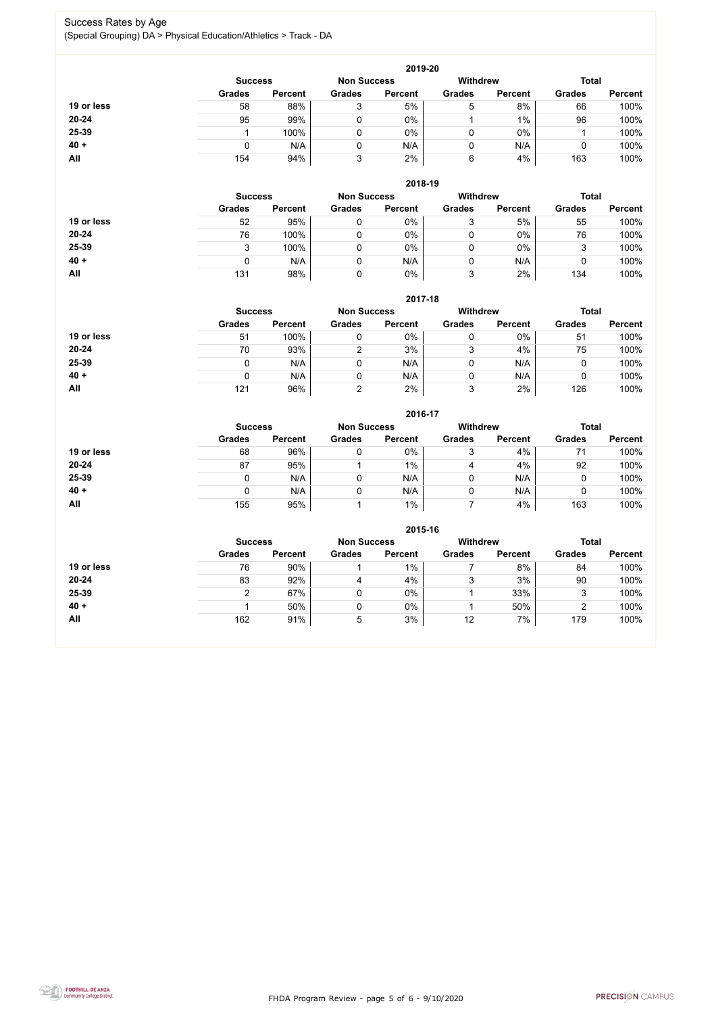FHDA Program Review - page 5 of 6 - 9/10/2020



### Success Rates by Age (Special Grouping) DA > Physical Education/Athletics > Track - DA

|            |                |                    |               | 2019-20         |               |                |               |                |
|------------|----------------|--------------------|---------------|-----------------|---------------|----------------|---------------|----------------|
|            | <b>Success</b> | <b>Non Success</b> |               | <b>Withdrew</b> |               | <b>Total</b>   |               |                |
|            | <b>Grades</b>  | <b>Percent</b>     | <b>Grades</b> | <b>Percent</b>  | <b>Grades</b> | <b>Percent</b> | <b>Grades</b> | <b>Percent</b> |
| 19 or less | 58             | 88%                | 3             | 5%              | 5             | 8%             | 66            | 100%           |
| $20 - 24$  | 95             | 99%                |               | $0\%$           |               | 1%             | 96            | 100%           |
| 25-39      |                | 100%               |               | $0\%$           | 0             | 0%             |               | 100%           |
| $40 +$     |                | N/A                |               | N/A             | 0             | N/A            |               | 100%           |
| All        | 154            | 94%                | 3             | 2%              | 6             | 4%             | 163           | 100%           |

|            |                |                    |               | 2018-19         |               |                |               |                |
|------------|----------------|--------------------|---------------|-----------------|---------------|----------------|---------------|----------------|
|            | <b>Success</b> | <b>Non Success</b> |               | <b>Withdrew</b> |               | <b>Total</b>   |               |                |
|            | <b>Grades</b>  | <b>Percent</b>     | <b>Grades</b> | <b>Percent</b>  | <b>Grades</b> | <b>Percent</b> | <b>Grades</b> | <b>Percent</b> |
| 19 or less | 52             | 95%                |               | 0%              | 2<br>J        | 5%             | 55            | 100%           |
| $20 - 24$  | 76             | 100%               |               | 0%              | ν             | $0\%$          | 76            | 100%           |
| 25-39      | 3              | 100%               |               | 0%              | υ             | $0\%$          | 3             | 100%           |
| $40 +$     |                | N/A                |               | N/A             | 0             | N/A            |               | 100%           |
| All        | 131            | 98%                |               | 0%              | っ<br>J        | 2%             | 134           | 100%           |

## **2017-18**



|            |                |                    |               | 2017-18         |               |                |               |                |
|------------|----------------|--------------------|---------------|-----------------|---------------|----------------|---------------|----------------|
|            | <b>Success</b> | <b>Non Success</b> |               | <b>Withdrew</b> |               | <b>Total</b>   |               |                |
|            | <b>Grades</b>  | <b>Percent</b>     | <b>Grades</b> | <b>Percent</b>  | <b>Grades</b> | <b>Percent</b> | <b>Grades</b> | <b>Percent</b> |
| 19 or less | 51             | 100%               |               | $0\%$           |               | 0%             | 51            | 100%           |
| $20 - 24$  | 70             | 93%                |               | 3%              |               | 4%             | 75            | 100%           |
| 25-39      |                | N/A                |               | N/A             |               | N/A            | U             | 100%           |
| $40 +$     |                | N/A                |               | N/A             |               | N/A            | U             | 100%           |
| All        | 121            | 96%                | ⌒             | 2%              | 3             | 2%             | 126           | 100%           |

|            |                |                    |               | 2016-17         |               |                |               |                |
|------------|----------------|--------------------|---------------|-----------------|---------------|----------------|---------------|----------------|
|            | <b>Success</b> | <b>Non Success</b> |               | <b>Withdrew</b> |               | <b>Total</b>   |               |                |
|            | <b>Grades</b>  | <b>Percent</b>     | <b>Grades</b> | <b>Percent</b>  | <b>Grades</b> | <b>Percent</b> | <b>Grades</b> | <b>Percent</b> |
| 19 or less | 68             | 96%                | 0             | $0\%$           | 3             | 4%             |               | 100%           |
| $20 - 24$  | 87             | 95%                |               | $1\%$           | 4             | 4%             | 92            | 100%           |
| 25-39      | 0              | N/A                |               | N/A             | 0             | N/A            |               | 100%           |
| $40 +$     | 0              | N/A                | 0             | N/A             | 0             | N/A            |               | 100%           |
| <b>All</b> | 155            | 95%                |               | $1\%$           |               | 4%             | 163           | 100%           |

|            |                |                    |               | 2015-16         |               |                |               |                |
|------------|----------------|--------------------|---------------|-----------------|---------------|----------------|---------------|----------------|
|            | <b>Success</b> | <b>Non Success</b> |               | <b>Withdrew</b> |               | <b>Total</b>   |               |                |
|            | <b>Grades</b>  | <b>Percent</b>     | <b>Grades</b> | <b>Percent</b>  | <b>Grades</b> | <b>Percent</b> | <b>Grades</b> | <b>Percent</b> |
| 19 or less | 76             | 90%                |               | $1\%$           |               | 8%             | 84            | 100%           |
| $20 - 24$  | 83             | 92%                | 4             | 4%              | 3             | 3%             | 90            | 100%           |
| 25-39      |                | 67%                |               | $0\%$           |               | 33%            | р<br>J.       | 100%           |
| $40 +$     |                | 50%                |               | 0%              |               | 50%            | ◠             | 100%           |
| All        | 162            | 91%                | 5             | 3%              | 12            | 7%             | 179           | 100%           |